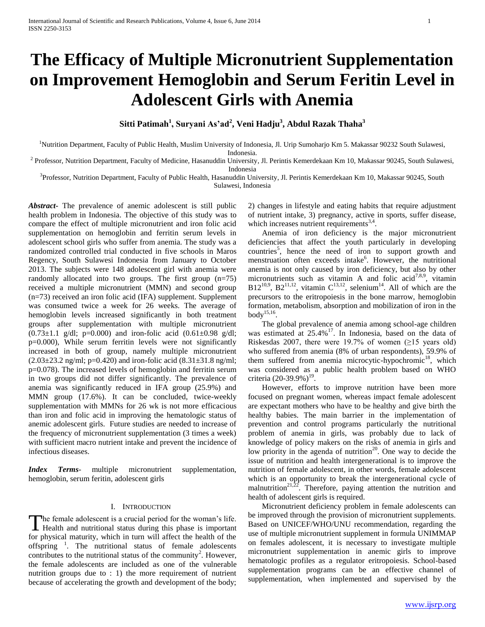# **The Efficacy of Multiple Micronutrient Supplementation on Improvement Hemoglobin and Serum Feritin Level in Adolescent Girls with Anemia**

**Sitti Patimah<sup>1</sup> , Suryani As'ad<sup>2</sup> , Veni Hadju<sup>3</sup> , Abdul Razak Thaha<sup>3</sup>**

<sup>1</sup>Nutrition Department, Faculty of Public Health, Muslim University of Indonesia, Jl. Urip Sumoharjo Km 5. Makassar 90232 South Sulawesi, Indonesia.

<sup>2</sup> Professor, Nutrition Department, Faculty of Medicine, Hasanuddin University, Jl. Perintis Kemerdekaan Km 10, Makassar 90245, South Sulawesi, Indonesia

<sup>3</sup>Professor, Nutrition Department, Faculty of Public Health, Hasanuddin University, Jl. Perintis Kemerdekaan Km 10, Makassar 90245, South Sulawesi, Indonesia

*Abstract***-** The prevalence of anemic adolescent is still public health problem in Indonesia. The objective of this study was to compare the effect of multiple micronutrient and iron folic acid supplementation on hemoglobin and ferritin serum levels in adolescent school girls who suffer from anemia. The study was a randomized controlled trial conducted in five schools in Maros Regency, South Sulawesi Indonesia from January to October 2013. The subjects were 148 adolescent girl with anemia were randomly allocated into two groups. The first group (n=75) received a multiple micronutrient (MMN) and second group (n=73) received an iron folic acid (IFA) supplement. Supplement was consumed twice a week for 26 weeks. The average of hemoglobin levels increased significantly in both treatment groups after supplementation with multiple micronutrient  $(0.73 \pm 1.1 \text{ g/d}$ ; p=0.000) and iron-folic acid  $(0.61 \pm 0.98 \text{ g/d}$ ; p=0.000), While serum ferritin levels were not significantly increased in both of group, namely multiple micronutrient  $(2.03\pm23.2 \text{ ng/ml}; \text{p=0.420})$  and iron-folic acid  $(8.31\pm31.8 \text{ ng/ml}; \text{m}$ p=0.078). The increased levels of hemoglobin and ferritin serum in two groups did not differ significantly. The prevalence of anemia was significantly reduced in IFA group (25.9%) and MMN group (17.6%). It can be concluded, twice-weekly supplementation with MMNs for 26 wk is not more efficacious than iron and folic acid in improving the hematologic status of anemic adolescent girls. Future studies are needed to increase of the frequency of micronutrient supplementation (3 times a week) with sufficient macro nutrient intake and prevent the incidence of infectious diseases.

*Index Terms*- multiple micronutrient supplementation, hemoglobin, serum feritin, adolescent girls

## I. INTRODUCTION

he female adolescent is a crucial period for the woman's life. The female adolescent is a crucial period for the woman's life.<br>Health and nutritional status during this phase is important for physical maturity, which in turn will affect the health of the offspring <sup>1</sup>. The nutritional status of female adolescents contributes to the nutritional status of the community<sup>2</sup>. However, the female adolescents are included as one of the vulnerable nutrition groups due to : 1) the more requirement of nutrient because of accelerating the growth and development of the body;

2) changes in lifestyle and eating habits that require adjustment of nutrient intake, 3) pregnancy, active in sports, suffer disease, which increases nutrient requirements $^{3,4}$ .

 Anemia of iron deficiency is the major micronutrient deficiencies that affect the youth particularly in developing countries<sup>5</sup>, hence the need of iron to support growth and menstruation often exceeds intake<sup>6</sup>. However, the nutritional anemia is not only caused by iron deficiency, but also by other micronutrients such as vitamin A and folic acid<sup>7,8,9</sup>, vitamin  $B12^{10,9}$ ,  $B2^{11,12}$ , vitamin  $C^{13,12}$ , selenium<sup>14</sup>. All of which are the precursors to the eritropoiesis in the bone marrow, hemoglobin formation, metabolism, absorption and mobilization of iron in the body $^{15,16}$ .

 The global prevalence of anemia among school-age children was estimated at 25.4%<sup>17</sup>. In Indonesia, based on the data of Riskesdas 2007, there were 19.7% of women ( $\geq$ 15 years old) who suffered from anemia (8% of urban respondents), 59.9% of them suffered from anemia microcytic-hypochromic<sup>18</sup>, which was considered as a public health problem based on WHO criteria (20-39.9%)<sup>19</sup>.

 However, efforts to improve nutrition have been more focused on pregnant women, whereas impact female adolescent are expectant mothers who have to be healthy and give birth the healthy babies. The main barrier in the implementation of prevention and control programs particularly the nutritional problem of anemia in girls, was probably due to lack of knowledge of policy makers on the risks of anemia in girls and low priority in the agenda of nutrition<sup>20</sup>. One way to decide the issue of nutrition and health intergenerational is to improve the nutrition of female adolescent, in other words, female adolescent which is an opportunity to break the intergenerational cycle of malnutrition<sup>21,22</sup>. Therefore, paying attention the nutrition and health of adolescent girls is required.

 Micronutrient deficiency problem in female adolescents can be improved through the provision of micronutrient supplements. Based on UNICEF/WHO/UNU recommendation, regarding the use of multiple micronutrient supplement in formula UNIMMAP on females adolescent, it is necessary to investigate multiple micronutrient supplementation in anemic girls to improve hematologic profiles as a regulator eritropoiesis. School-based supplementation programs can be an effective channel of supplementation, when implemented and supervised by the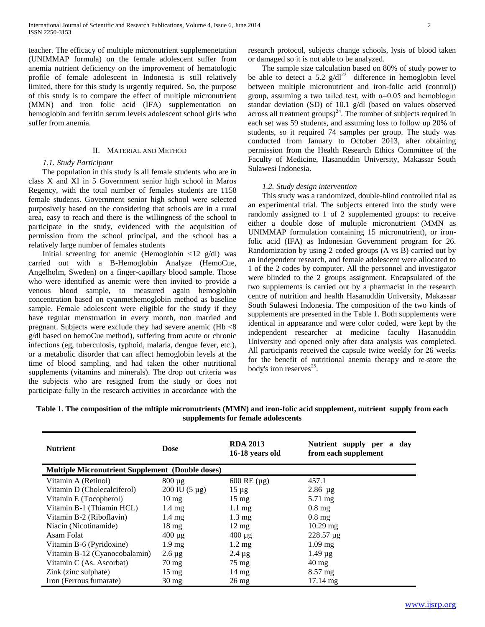teacher. The efficacy of multiple micronutrient supplemenetation (UNIMMAP formula) on the female adolescent suffer from anemia nutrient deficiency on the improvement of hematologic profile of female adolescent in Indonesia is still relatively limited, there for this study is urgently required. So, the purpose of this study is to compare the effect of multiple micronutrient (MMN) and iron folic acid (IFA) supplementation on hemoglobin and ferritin serum levels adolescent school girls who suffer from anemia.

## II. MATERIAL AND METHOD

## *1.1. Study Participant*

 The population in this study is all female students who are in class X and XI in 5 Government senior high school in Maros Regency, with the total number of females students are 1158 female students. Government senior high school were selected purposively based on the considering that schools are in a rural area, easy to reach and there is the willingness of the school to participate in the study, evidenced with the acquisition of permission from the school principal, and the school has a relatively large number of females students

Initial screening for anemic (Hemoglobin  $\langle 12 \text{ g/d} \rangle$ ) was carried out with a B-Hemoglobin Analyze (HemoCue, Angelholm, Sweden) on a finger-capillary blood sample. Those who were identified as anemic were then invited to provide a venous blood sample, to measured again hemoglobin concentration based on cyanmethemoglobin method as baseline sample. Female adolescent were eligible for the study if they have regular menstruation in every month, non married and pregnant. Subjects were exclude they had severe anemic (Hb <8 g/dl based on hemoCue method), suffering from acute or chronic infections (eg, tuberculosis, typhoid, malaria, dengue fever, etc.), or a metabolic disorder that can affect hemoglobin levels at the time of blood sampling, and had taken the other nutritional supplements (vitamins and minerals). The drop out criteria was the subjects who are resigned from the study or does not participate fully in the research activities in accordance with the research protocol, subjects change schools, lysis of blood taken or damaged so it is not able to be analyzed.

 The sample size calculation based on 80% of study power to be able to detect a 5.2  $g/dl^{23}$  difference in hemoglobin level between multiple micronutrient and iron-folic acid (control)) group, assuming a two tailed test, with  $\alpha=0.05$  and hemoblogin standar deviation (SD) of 10.1 g/dl (based on values observed across all treatment groups) $^{24}$ . The number of subjects required in each set was 59 students, and assuming loss to follow up 20% of students, so it required 74 samples per group. The study was conducted from January to October 2013, after obtaining permission from the Health Research Ethics Committee of the Faculty of Medicine, Hasanuddin University, Makassar South Sulawesi Indonesia.

## *1.2. Study design intervention*

 This study was a randomized, double-blind controlled trial as an experimental trial. The subjects entered into the study were randomly assigned to 1 of 2 supplemented groups: to receive either a double dose of multiple micronutrient (MMN as UNIMMAP formulation containing 15 micronutrient), or ironfolic acid (IFA) as Indonesian Government program for 26. Randomization by using 2 coded groups (A vs B) carried out by an independent research, and female adolescent were allocated to 1 of the 2 codes by computer. All the personnel and investigator were blinded to the 2 groups assignment. Encapsulated of the two supplements is carried out by a pharmacist in the research centre of nutrition and health Hasanuddin University, Makassar South Sulawesi Indonesia. The composition of the two kinds of supplements are presented in the Table 1. Both supplements were identical in appearance and were color coded, were kept by the independent researcher at medicine faculty Hasanuddin University and opened only after data analysis was completed. All participants received the capsule twice weekly for 26 weeks for the benefit of nutritional anemia therapy and re-store the body's iron reserves<sup>25</sup>.

| Table 1. The composition of the mitiple micronutrients (MMN) and iron-folic acid supplement, nutrient supply from each |  |
|------------------------------------------------------------------------------------------------------------------------|--|
| supplements for female adolescents                                                                                     |  |

| <b>Nutrient</b>                                         | <b>Dose</b>                     | <b>RDA 2013</b><br>16-18 years old | Nutrient supply per a<br>day<br>from each supplement |
|---------------------------------------------------------|---------------------------------|------------------------------------|------------------------------------------------------|
| <b>Multiple Micronutrient Supplement (Double doses)</b> |                                 |                                    |                                                      |
| Vitamin A (Retinol)                                     | $800 \mu g$                     | $600$ RE ( $\mu$ g)                | 457.1                                                |
| Vitamin D (Cholecalciferol)                             | $200 \text{ IU} (5 \text{ µg})$ | $15 \mu$ g                         | $2.86 \mu g$                                         |
| Vitamin E (Tocopherol)                                  | $10 \text{ mg}$                 | $15 \text{ mg}$                    | 5.71 mg                                              |
| Vitamin B-1 (Thiamin HCL)                               | $1.4 \text{ mg}$                | $1.1 \text{ mg}$                   | $0.8 \text{ mg}$                                     |
| Vitamin B-2 (Riboflavin)                                | $1.4 \text{ mg}$                | $1.3 \text{ mg}$                   | $0.8 \text{ mg}$                                     |
| Niacin (Nicotinamide)                                   | $18 \text{ mg}$                 | $12 \text{ mg}$                    | $10.29$ mg                                           |
| Asam Folat                                              | $400 \mu g$                     | $400 \mu g$                        | $228.57 \mu g$                                       |
| Vitamin B-6 (Pyridoxine)                                | $1.9 \text{ mg}$                | $1.2 \text{ mg}$                   | $1.09$ mg                                            |
| Vitamin B-12 (Cyanocobalamin)                           | $2.6 \mu g$                     | $2.4 \mu g$                        | $1.49 \mu$ g                                         |
| Vitamin C (As. Ascorbat)                                | $70 \text{ mg}$                 | 75 mg                              | $40 \text{ mg}$                                      |
| Zink (zinc sulphate)                                    | $15 \text{ mg}$                 | $14 \text{ mg}$                    | $8.57$ mg                                            |
| Iron (Ferrous fumarate)                                 | $30 \text{ mg}$                 | $26 \text{ mg}$                    | $17.14 \text{ mg}$                                   |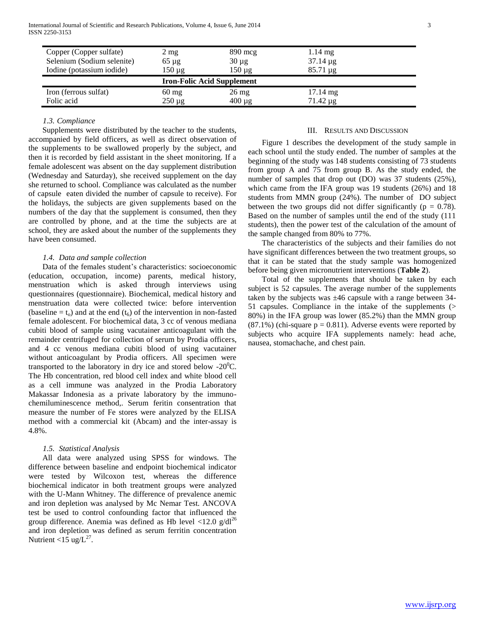International Journal of Scientific and Research Publications, Volume 4, Issue 6, June 2014 3 ISSN 2250-3153

| Copper (Copper sulfate)<br>Selenium (Sodium selenite) | $2 \text{ mg}$<br>$65 \mu$ g      | $890 \text{~mg}$<br>$30 \mu g$ | $1.14 \text{ mg}$<br>$37.14 \mu g$ |
|-------------------------------------------------------|-----------------------------------|--------------------------------|------------------------------------|
| Iodine (potassium iodide)                             | $150 \mu g$                       | $150 \mu g$                    | $85.71 \mu g$                      |
|                                                       |                                   |                                |                                    |
|                                                       | <b>Iron-Folic Acid Supplement</b> |                                |                                    |
| Iron (ferrous sulfat)                                 | $60 \text{ mg}$                   | $26 \text{ mg}$                | $17.14 \text{ mg}$                 |

## *1.3. Compliance*

 Supplements were distributed by the teacher to the students, accompanied by field officers, as well as direct observation of the supplements to be swallowed properly by the subject, and then it is recorded by field assistant in the sheet monitoring. If a female adolescent was absent on the day supplement distribution (Wednesday and Saturday), she received supplement on the day she returned to school. Compliance was calculated as the number of capsule eaten divided the number of capsule to receive). For the holidays, the subjects are given supplements based on the numbers of the day that the supplement is consumed, then they are controlled by phone, and at the time the subjects are at school, they are asked about the number of the supplements they have been consumed.

### *1.4. Data and sample collection*

 Data of the females student's characteristics: socioeconomic (education, occupation, income) parents, medical history, menstruation which is asked through interviews using questionnaires (questionnaire). Biochemical, medical history and menstruation data were collected twice: before intervention (baseline  $= t_0$ ) and at the end ( $t_6$ ) of the intervention in non-fasted female adolescent. For biochemical data, 3 cc of venous mediana cubiti blood of sample using vacutainer anticoagulant with the remainder centrifuged for collection of serum by Prodia officers, and 4 cc venous mediana cubiti blood of using vacutainer without anticoagulant by Prodia officers. All specimen were transported to the laboratory in dry ice and stored below  $-20^0C$ . The Hb concentration, red blood cell index and white blood cell as a cell immune was analyzed in the Prodia Laboratory Makassar Indonesia as a private laboratory by the immunochemiluminescence method,. Serum feritin consentration that measure the number of Fe stores were analyzed by the ELISA method with a commercial kit (Abcam) and the inter-assay is 4.8%.

#### *1.5. Statistical Analysis*

 All data were analyzed using SPSS for windows. The difference between baseline and endpoint biochemical indicator were tested by Wilcoxon test, whereas the difference biochemical indicator in both treatment groups were analyzed with the U-Mann Whitney. The difference of prevalence anemic and iron depletion was analysed by Mc Nemar Test. ANCOVA test be used to control confounding factor that influenced the group difference. Anemia was defined as Hb level  $\langle 12.0 \text{ g/dl}^2 \rangle$ and iron depletion was defined as serum ferritin concentration Nutrient < $15 \text{ ug/L}^{27}$ .

## III. RESULTS AND DISCUSSION

 Figure 1 describes the development of the study sample in each school until the study ended. The number of samples at the beginning of the study was 148 students consisting of 73 students from group A and 75 from group B. As the study ended, the number of samples that drop out (DO) was 37 students (25%), which came from the IFA group was 19 students (26%) and 18 students from MMN group (24%). The number of DO subject between the two groups did not differ significantly ( $p = 0.78$ ). Based on the number of samples until the end of the study (111 students), then the power test of the calculation of the amount of the sample changed from 80% to 77%.

 The characteristics of the subjects and their families do not have significant differences between the two treatment groups, so that it can be stated that the study sample was homogenized before being given micronutrient interventions (**Table 2**).

 Total of the supplements that should be taken by each subject is 52 capsules. The average number of the supplements taken by the subjects was  $\pm 46$  capsule with a range between 34-51 capsules. Compliance in the intake of the supplements (> 80%) in the IFA group was lower (85.2%) than the MMN group  $(87.1\%)$  (chi-square  $p = 0.811$ ). Adverse events were reported by subjects who acquire IFA supplements namely: head ache, nausea, stomachache, and chest pain.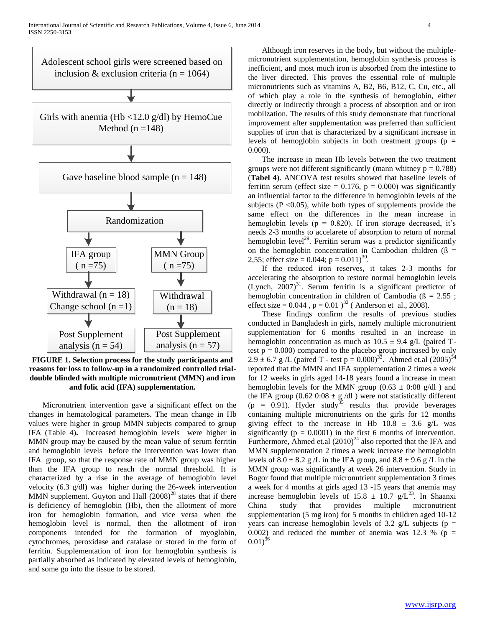

**FIGURE 1. Selection process for the study participants and reasons for loss to follow-up in a randomized controlled trialdouble blinded with multiple micronutrient (MMN) and iron and folic acid (IFA) supplementation.**

 Micronutrient intervention gave a significant effect on the changes in hematological parameters. The mean change in Hb values were higher in group MMN subjects compared to group IFA (Table 4)**.** Increased hemoglobin levels were higher in MMN group may be caused by the mean value of serum ferritin and hemoglobin levels before the intervention was lower than IFA group, so that the response rate of MMN group was higher than the IFA group to reach the normal threshold. It is characterized by a rise in the average of hemoglobin level velocity (6.3 g/dl) was higher during the 26-week intervention MMN supplement. Guyton and Hall  $(2008)^{28}$  states that if there is deficiency of hemoglobin (Hb), then the allotment of more iron for hemoglobin formation, and vice versa when the hemoglobin level is normal, then the allotment of iron components intended for the formation of myoglobin, cytochromes, peroxidase and catalase or stored in the form of ferritin. Supplementation of iron for hemoglobin synthesis is partially absorbed as indicated by elevated levels of hemoglobin, and some go into the tissue to be stored.

 Although iron reserves in the body, but without the multiplemicronutrient supplementation, hemoglobin synthesis process is inefficient, and most much iron is absorbed from the intestine to the liver directed. This proves the essential role of multiple micronutrients such as vitamins A, B2, B6, B12, C, Cu, etc., all of which play a role in the synthesis of hemoglobin, either directly or indirectly through a process of absorption and or iron mobilzation. The results of this study demonstrate that functional improvement after supplementation was preferred than sufficient supplies of iron that is characterized by a significant increase in levels of hemoglobin subjects in both treatment groups ( $p =$ 0.000).

 The increase in mean Hb levels between the two treatment groups were not different significantly (mann whitney  $p = 0.788$ ) (**Tabel 4**). ANCOVA test results showed that baseline levels of ferritin serum (effect size =  $0.176$ , p =  $0.000$ ) was significantly an influential factor to the difference in hemoglobin levels of the subjects ( $P < 0.05$ ), while both types of supplements provide the same effect on the differences in the mean increase in hemoglobin levels ( $p = 0.820$ ). If iron storage decreased, it's needs 2-3 months to accelarete of absorption to return of normal hemoglobin level<sup>29</sup>. Ferritin serum was a predictor significantly on the hemoglobin concentration in Cambodian children  $(B =$ 2,55; effect size =  $0.044$ ; p =  $0.011$ )<sup>30</sup>.

 If the reduced iron reserves, it takes 2-3 months for accelerating the absorption to restore normal hemoglobin levels (Lynch,  $2007$ )<sup>31</sup>. Serum ferritin is a significant predictor of hemoglobin concentration in children of Cambodia ( $\beta = 2.55$ ; effect size =  $0.044$ ,  $p = 0.01$ )<sup>32</sup> (Anderson et al., 2008).

 These findings confirm the results of previous studies conducted in Bangladesh in girls, namely multiple micronutrient supplementation for 6 months resulted in an increase in hemoglobin concentration as much as  $10.5 \pm 9.4$  g/L (paired Ttest  $p = 0.000$  compared to the placebo group increased by only 2.9  $\pm$  6.7 g /L (paired T - test p = 0.000)<sup>33</sup>. Ahmed et.al (2005)<sup>34</sup> reported that the MMN and IFA supplementation 2 times a week for 12 weeks in girls aged 14-18 years found a increase in mean hemoglobin levels for the MMN group (0.63  $\pm$  0:08 g/dl) and the IFA group (0.62 0:08  $\pm$  g /dl ) were not statistically different (p =  $0.91$ ). Hyder study<sup>35</sup> results that provide beverages containing multiple micronutrients on the girls for 12 months giving effect to the increase in Hb  $10.8 \pm 3.6$  g/L was significantly ( $p = 0.0001$ ) in the first 6 months of intervention. Furthermore, Ahmed et.al  $(2010)^{24}$  also reported that the IFA and MMN supplementation 2 times a week increase the hemoglobin levels of  $8.0 \pm 8.2$  g /L in the IFA group, and  $8.8 \pm 9.6$  g /L in the MMN group was significantly at week 26 intervention. Study in Bogor found that multiple micronutrient supplementation 3 times a week for 4 months at girls aged 13 -15 years that anemia may increase hemoglobin levels of  $15.8 \pm 10.7$  g/L<sup>23</sup>. In Shaanxi China study that provides multiple micronutrient supplementation (5 mg iron) for 5 months in children aged 10-12 years can increase hemoglobin levels of 3.2  $g/L$  subjects ( $p =$ 0.002) and reduced the number of anemia was 12.3 % ( $p =$  $(0.01)^{36}$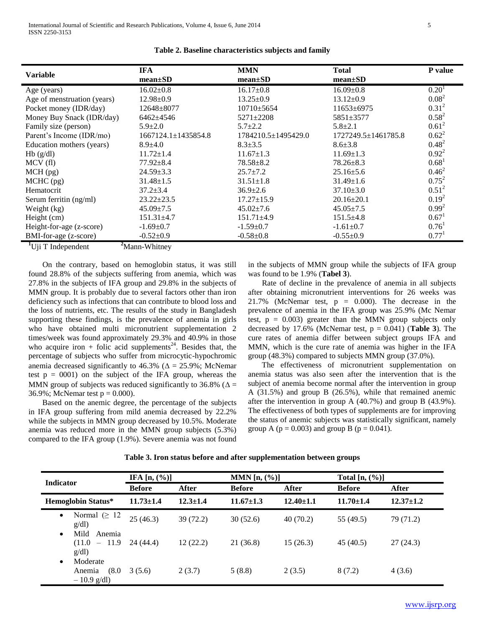|                                             | <b>IFA</b>                | <b>MMN</b>          | <b>Total</b>              | P value           |
|---------------------------------------------|---------------------------|---------------------|---------------------------|-------------------|
| <b>Variable</b>                             | $mean \pm SD$             | $mean \pm SD$       | $mean \pm SD$             |                   |
| Age (years)                                 | $16.02 \pm 0.8$           | $16.17 \pm 0.8$     | $16.09 \pm 0.8$           | 0.20 <sup>1</sup> |
| Age of menstruation (years)                 | $12.98 \pm 0.9$           | $13.25 \pm 0.9$     | $13.12 \pm 0.9$           | $0.08^2$          |
| Pocket money (IDR/day)                      | 12648±8077                | $10710 \pm 5654$    | $11653 \pm 6975$          | $0.31^{2}$        |
| Money Buy Snack (IDR/day)                   | 6462±4546                 | $5271 \pm 2208$     | 5851±3577                 | $0.58^{2}$        |
| Family size (person)                        | $5.9 \pm 2.0$             | $5.7 \pm 2.2$       | $5.8 \pm 2.1$             | $0.61^2$          |
| Parent's Income (IDR/mo)                    | $1667124.1 \pm 1435854.8$ | 1784210.5±1495429.0 | $1727249.5 \pm 1461785.8$ | $0.62^2$          |
| Education mothers (years)                   | $8.9 \pm 4.0$             | $8.3 \pm 3.5$       | $8.6 \pm 3.8$             | $0.48^{2}$        |
| Hb(g/dl)                                    | $11.72 \pm 1.4$           | $11.67 \pm 1.3$     | $11.69 \pm 1.3$           | $0.92^2$          |
| MCV(f)                                      | $77.92 \pm 8.4$           | $78.58 \pm 8.2$     | $78.26 \pm 8.3$           | 0.68 <sup>1</sup> |
| $MCH$ (pg)                                  | $24.59 \pm 3.3$           | $25.7 \pm 7.2$      | $25.16 \pm 5.6$           | $0.46^2$          |
| $MCHC$ (pg)                                 | $31.48 \pm 1.5$           | $31.51 \pm 1.8$     | $31.49 \pm 1.6$           | $0.75^2$          |
| Hematocrit                                  | $37.2 \pm 3.4$            | $36.9 \pm 2.6$      | $37.10 \pm 3.0$           | $0.51^2$          |
| Serum ferritin (ng/ml)                      | $23.22 \pm 23.5$          | $17.27 \pm 15.9$    | $20.16 \pm 20.1$          | $0.19^2$          |
| Weight (kg)                                 | $45.09 \pm 7.5$           | $45.02 \pm 7.6$     | $45.05 \pm 7.5$           | $0.99^{2}$        |
| Height (cm)                                 | $151.31 \pm 4.7$          | $151.71 \pm 4.9$    | $151.5 \pm 4.8$           | $0.67^1$          |
| Height-for-age (z-score)                    | $-1.69 \pm 0.7$           | $-1.59+0.7$         | $-1.61 \pm 0.7$           | 0.76 <sup>1</sup> |
| BMI-for-age (z-score)                       | $-0.52+0.9$               | $-0.58 \pm 0.8$     | $-0.55+0.9$               | 0.77 <sup>1</sup> |
| <sup>1</sup> U <sub>i</sub> i T Independent | <sup>2</sup> Mann-Whitney |                     |                           |                   |

**Table 2. Baseline characteristics subjects and family**

 On the contrary, based on hemoglobin status, it was still found 28.8% of the subjects suffering from anemia, which was 27.8% in the subjects of IFA group and 29.8% in the subjects of MMN group. It is probably due to several factors other than iron deficiency such as infections that can contribute to blood loss and the loss of nutrients, etc. The results of the study in Bangladesh supporting these findings, is the prevalence of anemia in girls who have obtained multi micronutrient supplementation 2 times/week was found approximately 29.3% and 40.9% in those who acquire iron + folic acid supplements<sup>24</sup>. Besides that, the percentage of subjects who suffer from microcytic-hypochromic anemia decreased significantly to 46.3% ( $\Delta = 25.9$ %; McNemar test  $p = 0001$  on the subject of the IFA group, whereas the MMN group of subjects was reduced significantly to 36.8% ( $\Delta$  = 36.9%; McNemar test  $p = 0.000$ ).

 Based on the anemic degree, the percentage of the subjects in IFA group suffering from mild anemia decreased by 22.2% while the subjects in MMN group decreased by 10.5%. Moderate anemia was reduced more in the MMN group subjects (5.3%) compared to the IFA group (1.9%). Severe anemia was not found in the subjects of MMN group while the subjects of IFA group was found to be 1.9% (**Tabel 3**).

 Rate of decline in the prevalence of anemia in all subjects after obtaining micronutrient interventions for 26 weeks was 21.7% (McNemar test,  $p = 0.000$ ). The decrease in the prevalence of anemia in the IFA group was 25.9% (Mc Nemar test,  $p = 0.003$ ) greater than the MMN group subjects only decreased by 17.6% (McNemar test,  $p = 0.041$ ) (**Table 3**). The cure rates of anemia differ between subject groups IFA and MMN, which is the cure rate of anemia was higher in the IFA group (48.3%) compared to subjects MMN group (37.0%).

 The effectiveness of micronutrient supplementation on anemia status was also seen after the intervention that is the subject of anemia become normal after the intervention in group A (31.5%) and group B (26.5%), while that remained anemic after the intervention in group A (40.7%) and group B (43.9%). The effectiveness of both types of supplements are for improving the status of anemic subjects was statistically significant, namely group A ( $p = 0.003$ ) and group B ( $p = 0.041$ ).

| <b>Indicator</b>                                          | IFA $[n, (\%)]$ |                | MMN $[n, (\%)]$ |                 | Total $[n, (\%)]$ |                 |
|-----------------------------------------------------------|-----------------|----------------|-----------------|-----------------|-------------------|-----------------|
|                                                           | <b>Before</b>   | After          | <b>Before</b>   | After           | <b>Before</b>     | After           |
| <b>Hemoglobin Status*</b>                                 | $11.73 \pm 1.4$ | $12.3 \pm 1.4$ | $11.67 \pm 1.3$ | $12.40 \pm 1.1$ | $11.70 \pm 1.4$   | $12.37 \pm 1.2$ |
| Normal ( $\geq 12$ )<br>$\bullet$<br>g/dl                 | 25(46.3)        | 39 (72.2)      | 30(52.6)        | 40(70.2)        | 55 (49.5)         | 79 (71.2)       |
| Mild<br>Anemia<br>$\bullet$<br>$(11.0 - 11.9$<br>g/dl     | 24 (44.4)       | 12(22.2)       | 21 (36.8)       | 15(26.3)        | 45 (40.5)         | 27(24.3)        |
| Moderate<br>$\bullet$<br>(8.0)<br>Anemia<br>$-10.9$ g/dl) | 3(5.6)          | 2(3.7)         | 5(8.8)          | 2(3.5)          | 8(7.2)            | 4(3.6)          |

**Table 3. Iron status before and after supplementation between groups**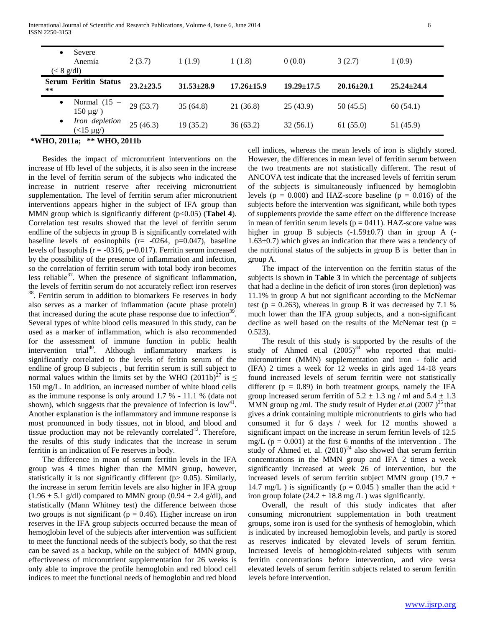| Severe<br>$\bullet$<br>Anemia<br>$(< 8 \text{ g/dl})$ | 2(3.7)          | 1(1.9)           | 1(1.8)           | 0(0.0)           | 3(2.7)           | 1(0.9)           |
|-------------------------------------------------------|-----------------|------------------|------------------|------------------|------------------|------------------|
| <b>Serum Feritin Status</b><br>**                     | $23.2 \pm 23.5$ | $31.53 \pm 28.9$ | $17.26 \pm 15.9$ | $19.29 \pm 17.5$ | $20.16 \pm 20.1$ | $25.24 \pm 24.4$ |
| Normal (15<br>$\bullet$<br>$150 \mu g$ )              | 29(53.7)        | 35(64.8)         | 21 (36.8)        | 25(43.9)         | 50(45.5)         | 60(54.1)         |
| Iron depletion<br>$\bullet$<br>$($ < 15 $\mu$ g $/$ ) | 25(46.3)        | 19(35.2)         | 36(63.2)         | 32(56.1)         | 61(55.0)         | 51 (45.9)        |

#### **\*WHO, 2011a; \*\* WHO, 2011b**

 Besides the impact of micronutrient interventions on the increase of Hb level of the subjects, it is also seen in the increase in the level of ferritin serum of the subjects who indicated the increase in nutrient reserve after receiving micronutrient supplementation. The level of ferritin serum after micronutrient interventions appears higher in the subject of IFA group than MMN group which is significantly different (p<0.05) (**Tabel 4**). Correlation test results showed that the level of ferritin serum endline of the subjects in group B is significantly correlated with baseline levels of eosinophils  $(r = -0.047)$ , baseline levels of basophils ( $r = -0316$ ,  $p=0.017$ ). Ferritin serum increased by the possibility of the presence of inflammation and infection, so the correlation of ferritin serum with total body iron becomes less reliable $3^7$ . When the presence of significant inflammation, the levels of ferritin serum do not accurately reflect iron reserves <sup>38</sup>. Ferritin serum in addition to biomarkers Fe reserves in body also serves as a marker of inflammation (acute phase protein) that increased during the acute phase response due to infection $39$ . Several types of white blood cells measured in this study, can be used as a marker of inflammation, which is also recommended for the assessment of immune function in public health intervention trial<sup>40</sup>. Although inflammatory markers is significantly correlated to the levels of feritin serum of the endline of group B subjects , but ferritin serum is still subject to normal values within the limits set by the WHO (2011b)<sup>27</sup> is  $\leq$ 150 mg/L. In addition, an increased number of white blood cells as the immune response is only around 1.7 % - 11.1 % (data not shown), which suggests that the prevalence of infection is  $\text{low}^{41}$ . Another explanation is the inflammatory and immune response is most pronounced in body tissues, not in blood, and blood and tissue production may not be relevantly correlated<sup>42</sup>. Therefore, the results of this study indicates that the increase in serum ferritin is an indication of Fe reserves in body.

 The difference in mean of serum ferritin levels in the IFA group was 4 times higher than the MMN group, however, statistically it is not significantly different (p> 0.05). Similarly, the increase in serum ferritin levels are also higher in IFA group  $(1.96 \pm 5.1 \text{ g/dl})$  compared to MMN group  $(0.94 \pm 2.4 \text{ g/dl})$ , and statistically (Mann Whitney test) the difference between those two groups is not significant ( $p = 0.46$ ). Higher increase on iron reserves in the IFA group subjects occurred because the mean of hemoglobin level of the subjects after intervention was sufficient to meet the functional needs of the subject's body, so that the rest can be saved as a backup, while on the subject of MMN group, effectiveness of micronutrient supplementation for 26 weeks is only able to improve the profile hemoglobin and red blood cell indices to meet the functional needs of hemoglobin and red blood

cell indices, whereas the mean levels of iron is slightly stored. However, the differences in mean level of ferritin serum between the two treatments are not statistically different. The resut of ANCOVA test indicate that the increased levels of ferritin serum of the subjects is simultaneously influenced by hemoglobin levels ( $p = 0.000$ ) and HAZ-score baseline ( $p = 0.016$ ) of the subjects before the intervention was significant, while both types of supplements provide the same effect on the difference increase in mean of ferritin serum levels ( $p = 0411$ ). HAZ-score value was higher in group B subjects  $(-1.59 \pm 0.7)$  than in group A  $(-1.59 \pm 0.7)$  $1.63\pm0.7$ ) which gives an indication that there was a tendency of the nutritional status of the subjects in group B is better than in group A.

 The impact of the intervention on the ferritin status of the subjects is shown in **Table 3** in which the percentage of subjects that had a decline in the deficit of iron stores (iron depletion) was 11.1% in group A but not significant according to the McNemar test ( $p = 0.263$ ), whereas in group B it was decreased by 7.1 % much lower than the IFA group subjects, and a non-significant decline as well based on the results of the McNemar test ( $p =$ 0.523).

 The result of this study is supported by the results of the study of Ahmed et.al  $(2005)^{34}$  who reported that multimicronutrient (MMN) supplementation and iron - folic acid (IFA) 2 times a week for 12 weeks in girls aged 14-18 years found increased levels of serum ferritin were not statistically different ( $p = 0.89$ ) in both treatment groups, namely the IFA group increased serum ferritin of  $5.2 \pm 1.3$  ng / ml and  $5.4 \pm 1.3$ MMN group ng /ml. The study result of Hyder *et.al*  $(2007)^{35}$  that gives a drink containing multiple micronutrients to girls who had consumed it for 6 days / week for 12 months showed a significant impact on the increase in serum ferritin levels of 12.5 mg/L ( $p = 0.001$ ) at the first 6 months of the intervention. The study of Ahmed et. al.  $(2010)^{24}$  also showed that serum ferritin concentrations in the MMN group and IFA 2 times a week significantly increased at week 26 of intervention, but the increased levels of serum ferritin subject MMN group (19.7  $\pm$ 14.7 mg/L ) is significantly ( $p = 0.045$ ) smaller than the acid + iron group folate  $(24.2 \pm 18.8 \text{ mg/L})$  was significantly.

 Overall, the result of this study indicates that after consuming micronutrient supplementation in both treatment groups, some iron is used for the synthesis of hemoglobin, which is indicated by increased hemoglobin levels, and partly is stored as reserves indicated by elevated levels of serum ferritin. Increased levels of hemoglobin-related subjects with serum ferritin concentrations before intervention, and vice versa elevated levels of serum ferritin subjects related to serum ferritin levels before intervention.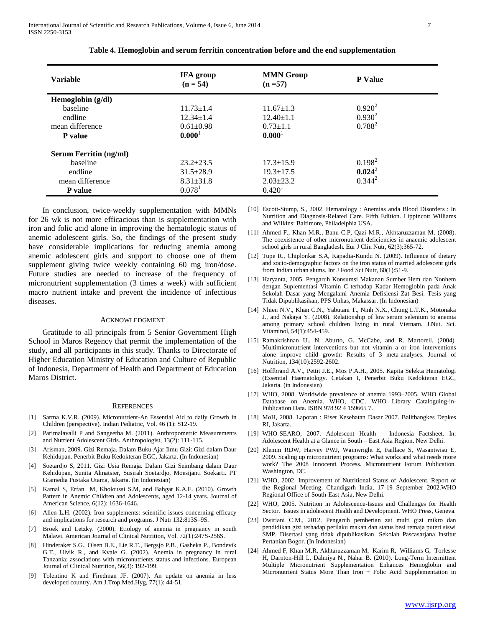| <b>Variable</b>               | <b>IFA</b> group<br>$(n = 54)$ | <b>MMN</b> Group<br>$(n = 57)$ | <b>P</b> Value |
|-------------------------------|--------------------------------|--------------------------------|----------------|
| Hemoglobin (g/dl)             |                                |                                |                |
| baseline                      | $11.73 \pm 1.4$                | $11.67 \pm 1.3$                | $0.920^2$      |
| endline                       | $12.34 \pm 1.4$                | $12.40 \pm 1.1$                | $0.930^2$      |
| mean difference               | $0.61 \pm 0.98$                | $0.73 \pm 1.1$                 | $0.788^{2}$    |
| <b>P</b> value                | 0.000 <sup>1</sup>             | 0.000 <sup>1</sup>             |                |
| <b>Serum Ferritin (ng/ml)</b> |                                |                                |                |
| baseline                      | $23.2 \pm 23.5$                | $17.3 \pm 15.9$                | $0.198^2$      |
| endline                       | $31.5 \pm 28.9$                | $19.3 \pm 17.5$                | $0.024^2$      |
| mean difference               | $8.31 \pm 31.8$                | $2.03 \pm 23.2$                | $0.344^{2}$    |
| P value                       | $0.078$ <sup>1</sup>           | 0.420 <sup>1</sup>             |                |

 In conclusion, twice-weekly supplementation with MMNs for 26 wk is not more efficacious than is supplementation with iron and folic acid alone in improving the hematologic status of anemic adolescent girls. So, the findings of the present study have considerable implications for reducing anemia among anemic adolescent girls and support to choose one of them supplement giving twice weekly containing 60 mg iron/dose. Future studies are needed to increase of the frequency of micronutrient supplementation (3 times a week) with sufficient macro nutrient intake and prevent the incidence of infectious diseases.

#### ACKNOWLEDGMENT

 Gratitude to all principals from 5 Senior Government High School in Maros Regency that permit the implementation of the study, and all participants in this study. Thanks to Directorate of Higher Education Ministry of Education and Culture of Republic of Indonesia, Department of Health and Department of Education Maros District.

#### **REFERENCES**

- [1] Sarma K.V.R. (2009). Micronutrient-An Essential Aid to daily Growth in Children (perspective). Indian Pediatric, Vol. 46 (1): S12-19.
- Parimalavalli P and Sangeetha M. (2011). Anthropometric Measurements and Nutrient Adolescent Girls. Anthropologist, 13(2): 111-115.
- [3] Arisman, 2009. Gizi Remaja. Dalam Buku Ajar Ilmu Gizi: Gizi dalam Daur Kehidupan. Penerbit Buku Kedokteran EGC, Jakarta. (In Indonesian)
- [4] Soetardjo S, 2011. Gizi Usia Remaja. Dalam Gizi Seimbang dalam Daur Kehidupan, Sunita Almatsier, Susirah Soetardjo, Moesijanti Soekarti. PT Gramedia Pustaka Utama, Jakarta. (In Indonesian)
- [5] Kamal S, Erfan M, Kholoussi S.M, and Bahgat K.A.E. (2010). Growth Pattern in Anemic Children and Adolescents, aged 12-14 years. Journal of American Science, 6(12): 1636-1646.
- [6] Allen L.H. (2002). Iron supplements: scientific issues concerning efficacy and implications for research and programs. J Nutr 132:813S–9S.
- [7] Broek and Letzky. (2000). Etiology of anemia in pregnancy in south Malawi. American Journal of Clinical Nutrition, Vol. 72(1):247S-256S.
- [8] Hinderaker S.G., Olsen B.E., Lie R.T., Bergsjo P.B., Gasheka P., Bondevik G.T., Ulvik R., and Kvale G. (2002). Anemia in pregnancy in rural Tanzania: associations with micronutrients status and infections. European Journal of Clinical Nutrition, 56(3): 192-199.
- [9] Tolentino K and Firedman JF. (2007). An update on anemia in less developed country. Am.J.Trop.Med.Hyg, 77(1): 44-51.
- [10] Escott-Stump, S., 2002. Hematology : Anemias anda Blood Disorders : In Nutrition and Diagnosis-Related Care. Fifth Edition. Lippincott Williams and Wilkins: Baltimore, Philadelphia USA.
- [11] Ahmed F., Khan M.R., Banu C.P, Qazi M.R., Akhtaruzzaman M. (2008). The coexistence of other micronutrient deficiencies in anaemic adolescent school girls in rural Bangladesh. Eur J Clin Nutr, 62(3):365-72.
- [12] Tupe R., Chiplonkar S.A, Kapadia-Kundu N. (2009). Influence of dietary and socio-demographic factors on the iron status of married adolescent girls from Indian urban slums. Int J Food Sci Nutr, 60(1):51-9.
- [13] Haryanta, 2005. Pengaruh Konsumsi Makanan Sumber Hem dan Nonhem dengan Suplementasi Vitamin C terhadap Kadar Hemoglobin pada Anak Sekolah Dasar yang Mengalami Anemia Defisiensi Zat Besi. Tesis yang Tidak Dipublikasikan, PPS Unhas, Makassar. (In Indonesian)
- [14] Nhien N.V., Khan C.N., Yabutani T., Ninh N.X., Chung L.T.K., Motonaka J., and Nakaya Y. (2008). Relationship of low serum selenium to anemia among primary school children living in rural Vietnam. J.Nut. Sci. Vitaminol, 54(1):454-459.
- [15] Ramakrishnan U., N. Aburto, G. McCabe, and R. Martorell. (2004). Multimicronutrient interventions but not vitamin a or iron interventions alone improve child growth: Results of 3 meta-analyses. Journal of Nutrition, 134(10):2592-2602.
- [16] Hoffbrand A.V., Pettit J.E., Mos P.A.H., 2005. Kapita Selekta Hematologi (Essential Haematology. Cetakan I, Penerbit Buku Kedokteran EGC, Jakarta. (in Indonesian)
- [17] WHO, 2008. Worldwide prevalence of anemia 1993–2005. WHO Global Database on Anemia. WHO, CDC. WHO Library Cataloguing-in-Publication Data. ISBN 978 92 4 159665 7.
- [18] MoH, 2008. Laporan : Riset Kesehatan Dasar 2007. Balitbangkes Depkes RI, Jakarta.
- [19] WHO-SEARO, 2007. Adolescent Health Indonesia Factsheet. In: Adolescent Health at a Glance in South – East Asia Region. New Delhi.
- [20] Klemm RDW, Harvey PWJ, Wainwright E, Faillace S, Wasantwisu E, 2009. Scaling up micronutrient programs: What works and what needs more work? The 2008 Innocenti Process. Micronutrient Forum Publication. Washington, DC.
- [21] WHO, 2002. Improvement of Nutritional Status of Adolescent. Report of the Regional Meeting. Chandigarh India, 17-19 September 2002.WHO Regional Office of South-East Asia, New Delhi.
- [22] WHO, 2005. Nutrition in Adolescence-Issues and Challenges for Health Sector. Issues in adolescent Health and Development. WHO Press, Geneva.
- [23] Dwiriani C.M., 2012. Pengaruh pemberian zat multi gizi mikro dan pendidikan gizi terhadap perilaku makan dan status besi remaja puteri siswi SMP. Disertasi yang tidak dipublikasikan. Sekolah Pascasarjana Institut Pertanian Bogor. (In Indonesian)
- [24] Ahmed F, Khan M.R, Akhtaruzzaman M, Karim R, Williams G, Torlesse H, Darnton-Hill I., Dalmiya N., Nahar B. (2010). Long-Term Intermittent Multiple Micronutrient Supplementation Enhances Hemoglobin and Micronutrient Status More Than Iron + Folic Acid Supplementation in